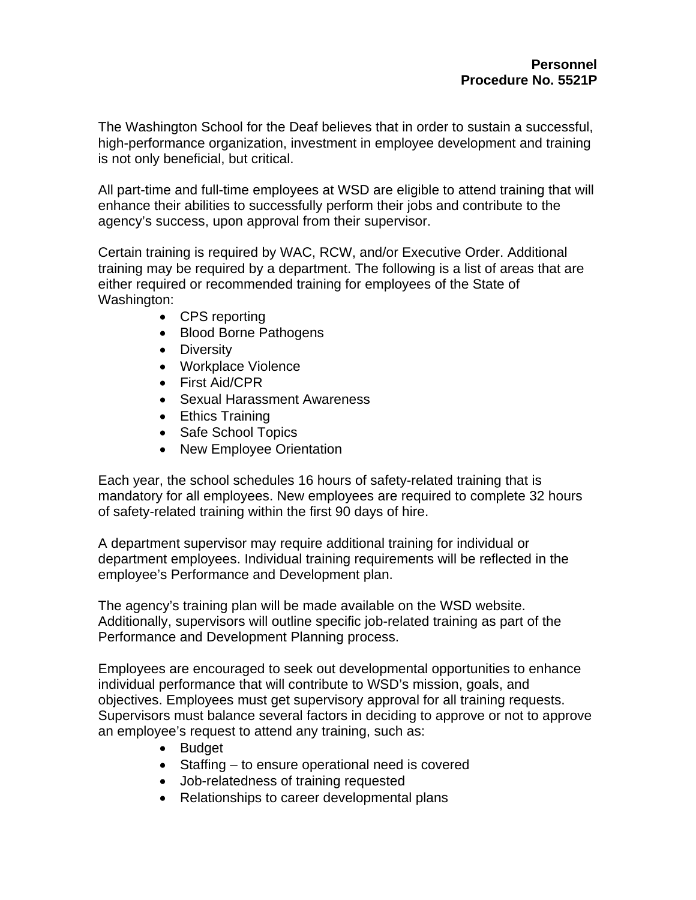The Washington School for the Deaf believes that in order to sustain a successful, high-performance organization, investment in employee development and training is not only beneficial, but critical.

All part-time and full-time employees at WSD are eligible to attend training that will enhance their abilities to successfully perform their jobs and contribute to the agency's success, upon approval from their supervisor.

Certain training is required by WAC, RCW, and/or Executive Order. Additional training may be required by a department. The following is a list of areas that are either required or recommended training for employees of the State of Washington:

- CPS reporting
- Blood Borne Pathogens
- Diversity
- Workplace Violence
- First Aid/CPR
- Sexual Harassment Awareness
- Ethics Training
- Safe School Topics
- New Employee Orientation

Each year, the school schedules 16 hours of safety-related training that is mandatory for all employees. New employees are required to complete 32 hours of safety-related training within the first 90 days of hire.

A department supervisor may require additional training for individual or department employees. Individual training requirements will be reflected in the employee's Performance and Development plan.

The agency's training plan will be made available on the WSD website. Additionally, supervisors will outline specific job-related training as part of the Performance and Development Planning process.

Employees are encouraged to seek out developmental opportunities to enhance individual performance that will contribute to WSD's mission, goals, and objectives. Employees must get supervisory approval for all training requests. Supervisors must balance several factors in deciding to approve or not to approve an employee's request to attend any training, such as:

- Budget
- Staffing to ensure operational need is covered
- Job-relatedness of training requested
- Relationships to career developmental plans